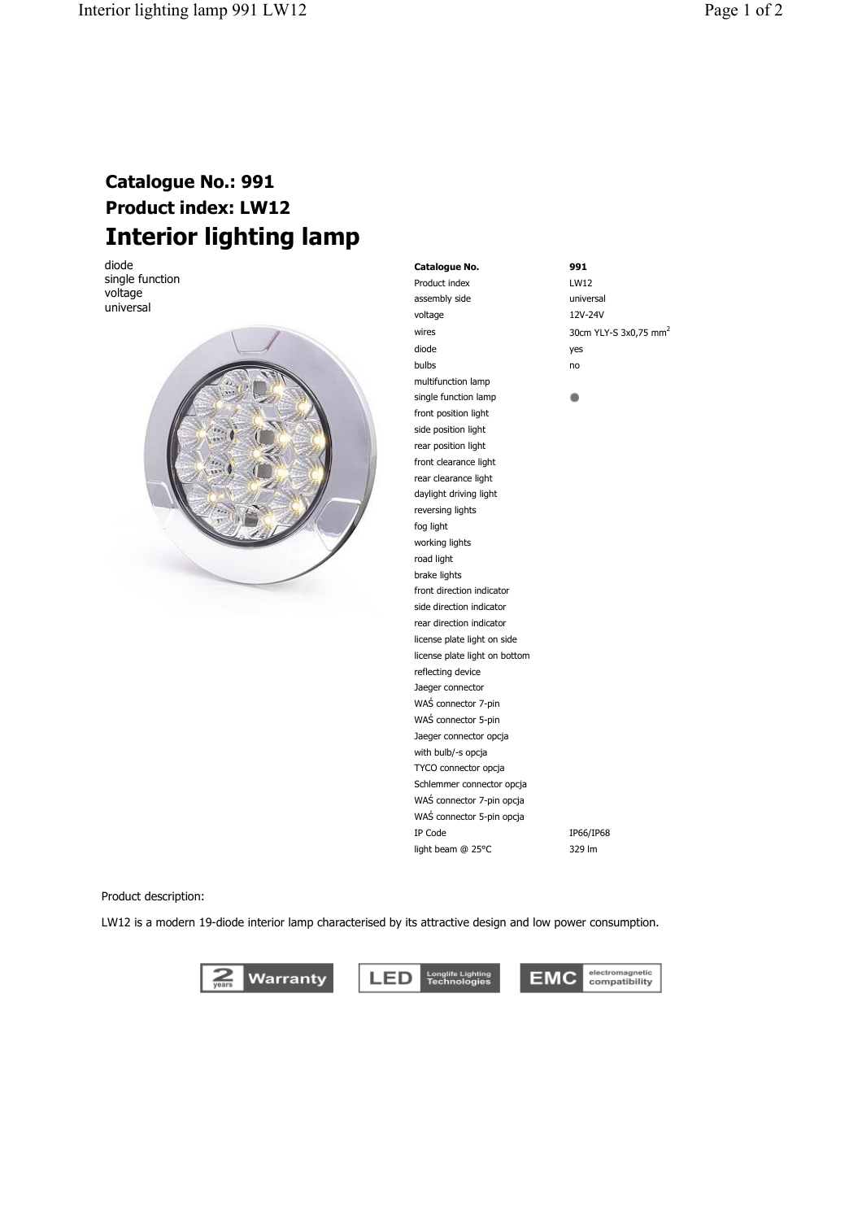## **Catalogue No.: 991 Product index: LW12 Interior lighting lamp**

diode single function voltage universal



**Catalogue No. 991** Product index LW12 assembly side universal voltage 12V-24V wires 30cm YLY-S 3x0,75 mm<sup>2</sup> diode yes bulbs no multifunction lamp  $\blacksquare$ single function lamp front position light side position light rear position light front clearance light rear clearance light daylight driving light reversing lights fog light working lights road light brake lights front direction indicator side direction indicator rear direction indicator license plate light on side license plate light on bottom reflecting device Jaeger connector WAŚ connector 7-pin WAŚ connector 5-pin Jaeger connector opcja with bulb/-s opcja TYCO connector opcja Schlemmer connector opcja WAŚ connector 7-pin opcja WAŚ connector 5-pin opcja IP Code IP66/IP68 light beam @ 25°C 329 lm

Product description:

LW12 is a modern 19-diode interior lamp characterised by its attractive design and low power consumption.